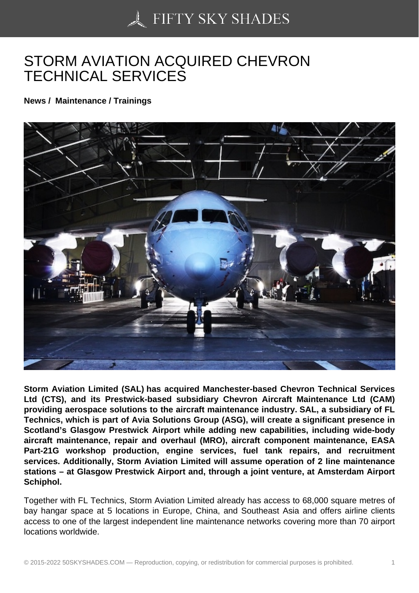## [STORM AVIATION AC](https://50skyshades.com)QUIRED CHEVRON TECHNICAL SERVICES

News / Maintenance / Trainings

Storm Aviation Limited (SAL) has acquired Manchester-based Chevron Technical Services Ltd (CTS), and its Prestwick-based subsidiary Chevron Aircraft Maintenance Ltd (CAM) providing aerospace solutions to the aircraft maintenance industry. SAL, a subsidiary of FL Technics, which is part of Avia Solutions Group (ASG), will create a significant presence in Scotland's Glasgow Prestwick Airport while adding new capabilities, including wide-body aircraft maintenance, repair and overhaul (MRO), aircraft component maintenance, EASA Part-21G workshop production, engine services, fuel tank repairs, and recruitment services. Additionally, Storm Aviation Limited will assume operation of 2 line maintenance stations – at Glasgow Prestwick Airport and, through a joint venture, at Amsterdam Airport Schiphol.

Together with FL Technics, Storm Aviation Limited already has access to 68,000 square metres of bay hangar space at 5 locations in Europe, China, and Southeast Asia and offers airline clients access to one of the largest independent line maintenance networks covering more than 70 airport locations worldwide.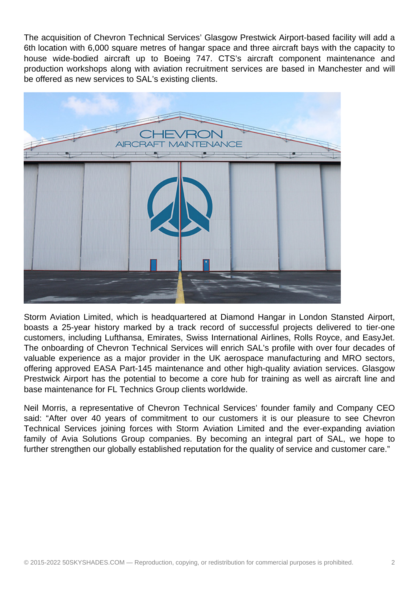The acquisition of Chevron Technical Services' Glasgow Prestwick Airport-based facility will add a 6th location with 6,000 square metres of hangar space and three aircraft bays with the capacity to house wide-bodied aircraft up to Boeing 747. CTS's aircraft component maintenance and production workshops along with aviation recruitment services are based in Manchester and will be offered as new services to SAL's existing clients.



Storm Aviation Limited, which is headquartered at Diamond Hangar in London Stansted Airport, boasts a 25-year history marked by a track record of successful projects delivered to tier-one customers, including Lufthansa, Emirates, Swiss International Airlines, Rolls Royce, and EasyJet. The onboarding of Chevron Technical Services will enrich SAL's profile with over four decades of valuable experience as a major provider in the UK aerospace manufacturing and MRO sectors, offering approved EASA Part-145 maintenance and other high-quality aviation services. Glasgow Prestwick Airport has the potential to become a core hub for training as well as aircraft line and base maintenance for FL Technics Group clients worldwide.

Neil Morris, a representative of Chevron Technical Services' founder family and Company CEO said: "After over 40 years of commitment to our customers it is our pleasure to see Chevron Technical Services joining forces with Storm Aviation Limited and the ever-expanding aviation family of Avia Solutions Group companies. By becoming an integral part of SAL, we hope to further strengthen our globally established reputation for the quality of service and customer care."